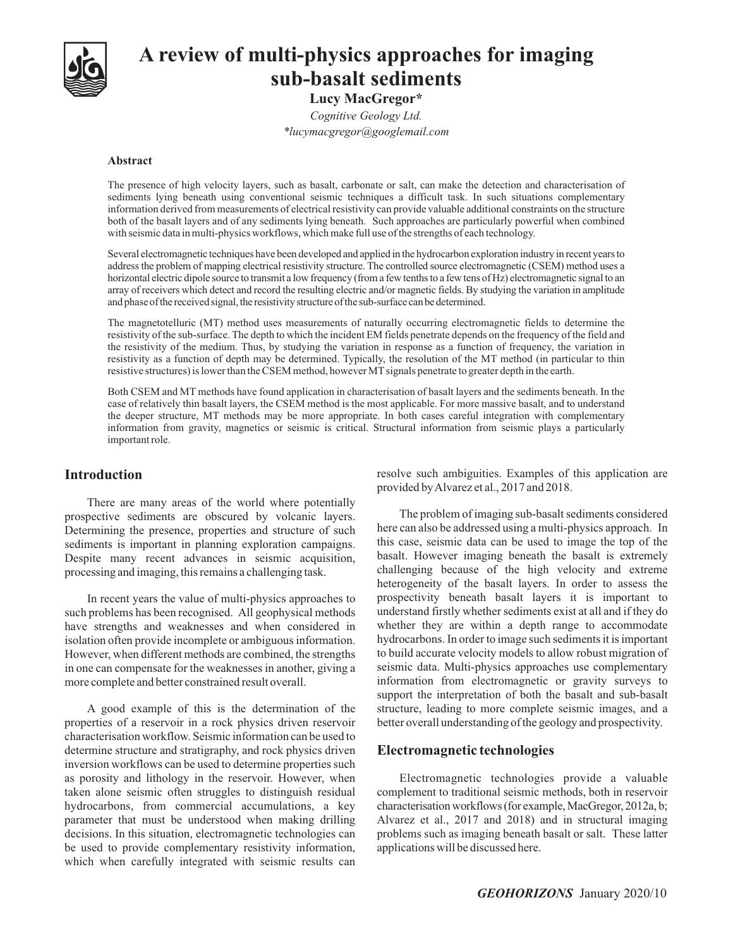

# **A review of multi-physics approaches for imaging sub-basalt sediments**

**Lucy MacGregor\*** *Cognitive Geology Ltd. \*lucymacgregor@googlemail.com*

#### **Abstract**

The presence of high velocity layers, such as basalt, carbonate or salt, can make the detection and characterisation of sediments lying beneath using conventional seismic techniques a difficult task. In such situations complementary information derived from measurements of electrical resistivity can provide valuable additional constraints on the structure both of the basalt layers and of any sediments lying beneath. Such approaches are particularly powerful when combined with seismic data in multi-physics workflows, which make full use of the strengths of each technology.

Several electromagnetic techniques have been developed and applied in the hydrocarbon exploration industry in recent yearsto addressthe problem of mapping electrical resistivity structure. The controlled source electromagnetic (CSEM) method uses a horizontal electric dipole source to transmit a low frequency (from a few tenths to a few tens of Hz) electromagnetic signal to an array of receivers which detect and record the resulting electric and/or magnetic fields. By studying the variation in amplitude and phase of the received signal, the resistivity structure of the sub-surface can be determined.

The magnetotelluric (MT) method uses measurements of naturally occurring electromagnetic fields to determine the resistivity of the sub-surface. The depth to which the incident EM fields penetrate depends on the frequency of the field and the resistivity of the medium. Thus, by studying the variation in response as a function of frequency, the variation in resistivity as a function of depth may be determined. Typically, the resolution of the MT method (in particular to thin resistive structures) is lower than the CSEM method, however MTsignals penetrate to greater depth in the earth.

Both CSEM and MT methods have found application in characterisation of basalt layers and the sediments beneath. In the case of relatively thin basalt layers, the CSEM method is the most applicable. For more massive basalt, and to understand the deeper structure, MT methods may be more appropriate. In both cases careful integration with complementary information from gravity, magnetics or seismic is critical. Structural information from seismic plays a particularly important role.

### **Introduction**

There are many areas of the world where potentially prospective sediments are obscured by volcanic layers. Determining the presence, properties and structure of such sediments is important in planning exploration campaigns. Despite many recent advances in seismic acquisition, processing and imaging, this remains a challenging task.

In recent years the value of multi-physics approaches to such problems has been recognised. All geophysical methods have strengths and weaknesses and when considered in isolation often provide incomplete or ambiguous information. However, when different methods are combined, the strengths in one can compensate for the weaknesses in another, giving a more complete and better constrained result overall.

A good example of this is the determination of the properties of a reservoir in a rock physics driven reservoir characterisation workflow. Seismic information can be used to determine structure and stratigraphy, and rock physics driven inversion workflows can be used to determine properties such as porosity and lithology in the reservoir. However, when taken alone seismic often struggles to distinguish residual hydrocarbons, from commercial accumulations, a key parameter that must be understood when making drilling decisions. In this situation, electromagnetic technologies can be used to provide complementary resistivity information, which when carefully integrated with seismic results can

resolve such ambiguities. Examples of this application are provided by Alvarez et al., 2017 and 2018.

The problem of imaging sub-basalt sediments considered here can also be addressed using a multi-physics approach. In this case, seismic data can be used to image the top of the basalt. However imaging beneath the basalt is extremely challenging because of the high velocity and extreme heterogeneity of the basalt layers. In order to assess the prospectivity beneath basalt layers it is important to understand firstly whether sediments exist at all and if they do whether they are within a depth range to accommodate hydrocarbons. In order to image such sediments it is important to build accurate velocity models to allow robust migration of seismic data. Multi-physics approaches use complementary information from electromagnetic or gravity surveys to support the interpretation of both the basalt and sub-basalt structure, leading to more complete seismic images, and a better overall understanding of the geology and prospectivity.

#### **Electromagnetic technologies**

Electromagnetic technologies provide a valuable complement to traditional seismic methods, both in reservoir characterisation workflows (for example, MacGregor, 2012a, b; Alvarez et al., 2017 and 2018) and in structural imaging problems such as imaging beneath basalt or salt. These latter applications will be discussed here.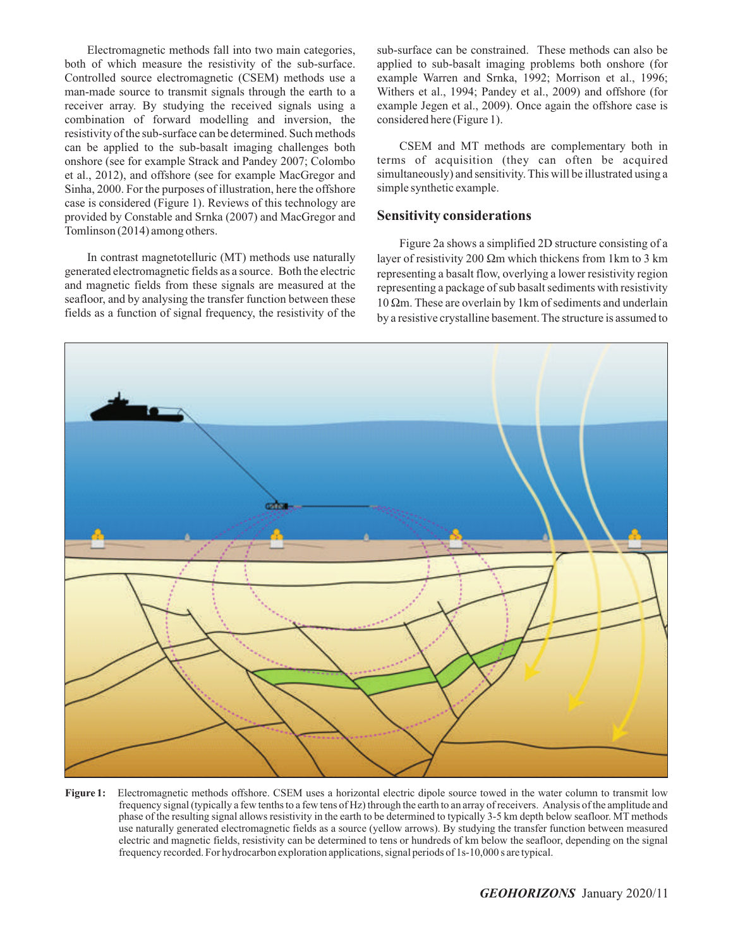Electromagnetic methods fall into two main categories, both of which measure the resistivity of the sub-surface. Controlled source electromagnetic (CSEM) methods use a man-made source to transmit signals through the earth to a receiver array. By studying the received signals using a combination of forward modelling and inversion, the resistivity of the sub-surface can be determined. Such methods can be applied to the sub-basalt imaging challenges both onshore (see for example Strack and Pandey 2007; Colombo et al., 2012), and offshore (see for example MacGregor and Sinha, 2000. For the purposes of illustration, here the offshore case is considered (Figure 1). Reviews of this technology are provided by Constable and Srnka (2007) and MacGregor and Tomlinson (2014) among others.

In contrast magnetotelluric (MT) methods use naturally generated electromagnetic fields as a source. Both the electric and magnetic fields from these signals are measured at the seafloor, and by analysing the transfer function between these fields as a function of signal frequency, the resistivity of the sub-surface can be constrained. These methods can also be applied to sub-basalt imaging problems both onshore (for example Warren and Srnka, 1992; Morrison et al., 1996; Withers et al., 1994; Pandey et al., 2009) and offshore (for example Jegen et al., 2009). Once again the offshore case is considered here (Figure 1).

CSEM and MT methods are complementary both in terms of acquisition (they can often be acquired simultaneously) and sensitivity. This will be illustrated using a simple synthetic example.

#### **Sensitivity considerations**

Figure 2a shows a simplified 2D structure consisting of a layer of resistivity 200  $\Omega$ m which thickens from 1km to 3 km representing a basalt flow, overlying a lower resistivity region representing a package of sub basalt sediments with resistivity  $10 \Omega$ m. These are overlain by 1km of sediments and underlain by a resistive crystalline basement. The structure is assumed to



**Figure 1:** Electromagnetic methods offshore. CSEM uses a horizontal electric dipole source towed in the water column to transmit low frequency signal (typically a few tenths to a few tens of Hz) through the earth to an array of receivers. Analysis of the amplitude and phase of the resulting signal allows resistivity in the earth to be determined to typically 3-5 km depth below seafloor. MT methods use naturally generated electromagnetic fields as a source (yellow arrows). By studying the transfer function between measured electric and magnetic fields, resistivity can be determined to tens or hundreds of km below the seafloor, depending on the signal frequency recorded. For hydrocarbon exploration applications, signal periods of 1s-10,000 s are typical.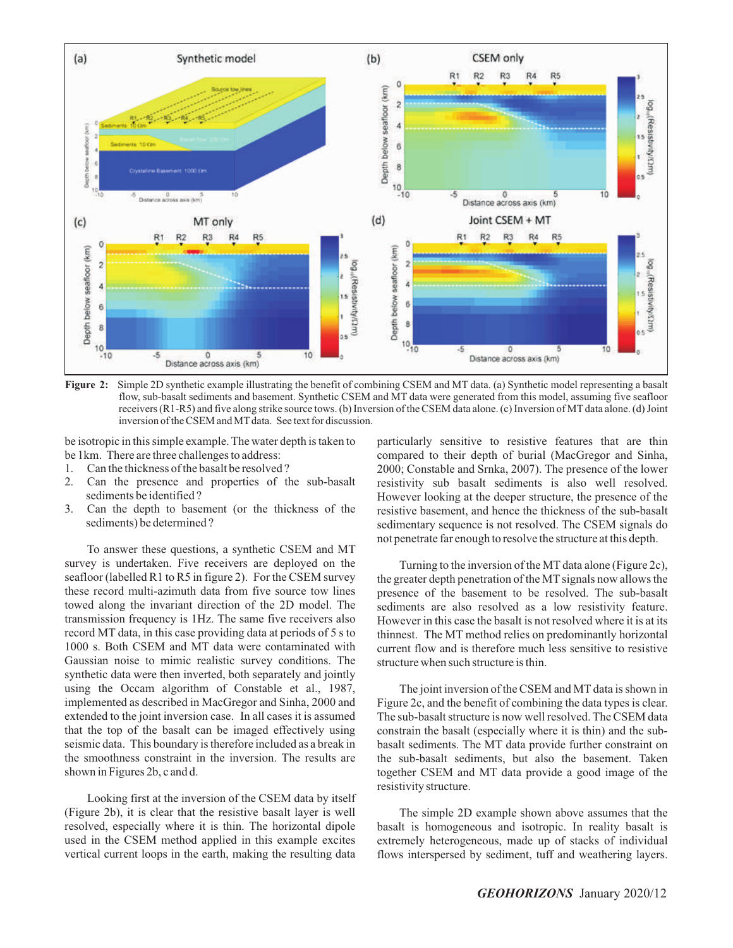

**Figure 2:** Simple 2D synthetic example illustrating the benefit of combining CSEM and MT data. (a) Synthetic model representing a basalt flow, sub-basalt sediments and basement. Synthetic CSEM and MT data were generated from this model, assuming five seafloor receivers (R1-R5) and five along strike source tows. (b) Inversion of the CSEM data alone. (c) Inversion of MT data alone. (d) Joint inversion of the CSEM and MT data. See text for discussion.

be isotropic in this simple example. The water depth is taken to be 1km. There are three challenges to address:

- 1. Can the thickness of the basalt be resolved ?
- 2. Can the presence and properties of the sub-basalt sediments be identified ?
- 3. Can the depth to basement (or the thickness of the sediments) be determined ?

To answer these questions, a synthetic CSEM and MT survey is undertaken. Five receivers are deployed on the seafloor (labelled R1 to R5 in figure 2). For the CSEM survey these record multi-azimuth data from five source tow lines towed along the invariant direction of the 2D model. The transmission frequency is 1Hz. The same five receivers also record MT data, in this case providing data at periods of 5 s to 1000 s. Both CSEM and MT data were contaminated with Gaussian noise to mimic realistic survey conditions. The synthetic data were then inverted, both separately and jointly using the Occam algorithm of Constable et al., 1987, implemented as described in MacGregor and Sinha, 2000 and extended to the joint inversion case. In all cases it is assumed that the top of the basalt can be imaged effectively using seismic data. This boundary is therefore included as a break in the smoothness constraint in the inversion. The results are shown in Figures 2b, c and d.

Looking first at the inversion of the CSEM data by itself (Figure 2b), it is clear that the resistive basalt layer is well resolved, especially where it is thin. The horizontal dipole used in the CSEM method applied in this example excites vertical current loops in the earth, making the resulting data

particularly sensitive to resistive features that are thin compared to their depth of burial (MacGregor and Sinha, 2000; Constable and Srnka, 2007). The presence of the lower resistivity sub basalt sediments is also well resolved. However looking at the deeper structure, the presence of the resistive basement, and hence the thickness of the sub-basalt sedimentary sequence is not resolved. The CSEM signals do not penetrate far enough to resolve the structure at this depth.

Turning to the inversion of the MT data alone (Figure 2c), the greater depth penetration of the MT signals now allows the presence of the basement to be resolved. The sub-basalt sediments are also resolved as a low resistivity feature. However in this case the basalt is not resolved where it is at its thinnest. The MT method relies on predominantly horizontal current flow and is therefore much less sensitive to resistive structure when such structure is thin.

The joint inversion of the CSEM and MT data is shown in Figure 2c, and the benefit of combining the data types is clear. The sub-basalt structure is now well resolved. The CSEM data constrain the basalt (especially where it is thin) and the subbasalt sediments. The MT data provide further constraint on the sub-basalt sediments, but also the basement. Taken together CSEM and MT data provide a good image of the resistivity structure.

The simple 2D example shown above assumes that the basalt is homogeneous and isotropic. In reality basalt is extremely heterogeneous, made up of stacks of individual flows interspersed by sediment, tuff and weathering layers.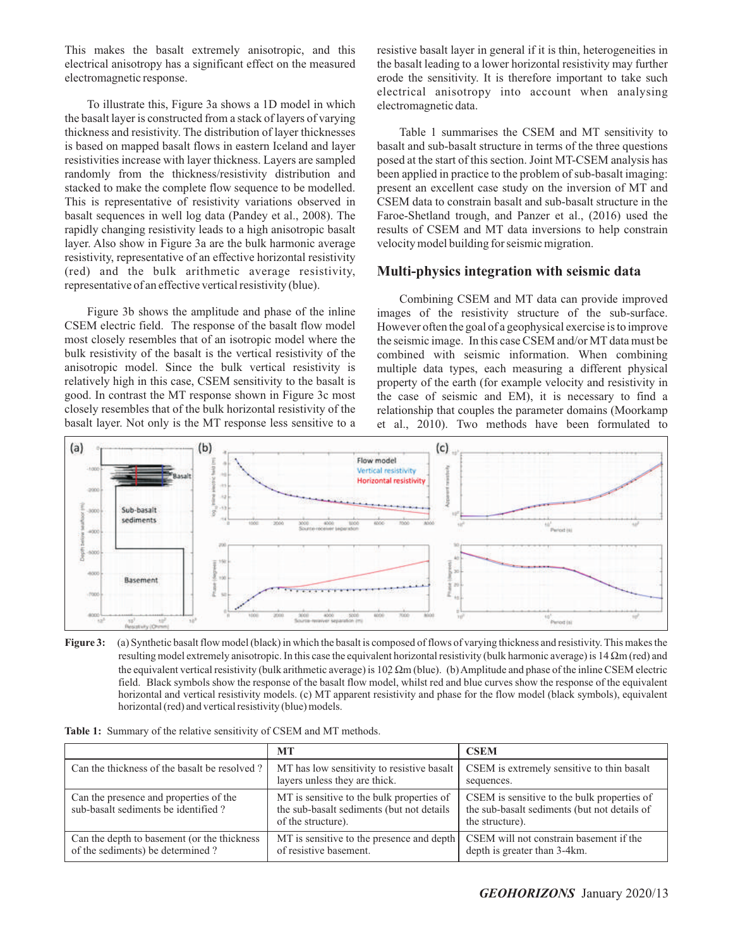This makes the basalt extremely anisotropic, and this electrical anisotropy has a significant effect on the measured electromagnetic response.

To illustrate this, Figure 3a shows a 1D model in which the basalt layer is constructed from a stack of layers of varying thickness and resistivity. The distribution of layer thicknesses is based on mapped basalt flows in eastern Iceland and layer resistivities increase with layer thickness. Layers are sampled randomly from the thickness/resistivity distribution and stacked to make the complete flow sequence to be modelled. This is representative of resistivity variations observed in basalt sequences in well log data (Pandey et al., 2008). The rapidly changing resistivity leads to a high anisotropic basalt layer. Also show in Figure 3a are the bulk harmonic average resistivity, representative of an effective horizontal resistivity (red) and the bulk arithmetic average resistivity, representative of an effective vertical resistivity (blue).

Figure 3b shows the amplitude and phase of the inline CSEM electric field. The response of the basalt flow model most closely resembles that of an isotropic model where the bulk resistivity of the basalt is the vertical resistivity of the anisotropic model. Since the bulk vertical resistivity is relatively high in this case, CSEM sensitivity to the basalt is good. In contrast the MT response shown in Figure 3c most closely resembles that of the bulk horizontal resistivity of the basalt layer. Not only is the MT response less sensitive to a resistive basalt layer in general if it is thin, heterogeneities in the basalt leading to a lower horizontal resistivity may further erode the sensitivity. It is therefore important to take such electrical anisotropy into account when analysing electromagnetic data.

Table 1 summarises the CSEM and MT sensitivity to basalt and sub-basalt structure in terms of the three questions posed at the start of this section. Joint MT-CSEM analysis has been applied in practice to the problem of sub-basalt imaging: present an excellent case study on the inversion of MT and CSEM data to constrain basalt and sub-basalt structure in the Faroe-Shetland trough, and Panzer et al., (2016) used the results of CSEM and MT data inversions to help constrain velocity model building for seismic migration.

# **Multi-physics integration with seismic data**

Combining CSEM and MT data can provide improved images of the resistivity structure of the sub-surface. However often the goal of a geophysical exercise is to improve the seismic image. In this case CSEM and/or MT data must be combined with seismic information. When combining multiple data types, each measuring a different physical property of the earth (for example velocity and resistivity in the case of seismic and EM), it is necessary to find a relationship that couples the parameter domains (Moorkamp et al., 2010). Two methods have been formulated to



**Figure 3:** (a) Synthetic basalt flow model (black) in which the basalt is composed of flows of varying thickness and resistivity. This makes the resulting model extremely anisotropic. In this case the equivalent horizontal resistivity (bulk harmonic average) is  $14 \Omega m$  (red) and the equivalent vertical resistivity (bulk arithmetic average) is  $102 \Omega m$  (blue). (b) Amplitude and phase of the inline CSEM electric field. Black symbols show the response of the basalt flow model, whilst red and blue curves show the response of the equivalent horizontal and vertical resistivity models. (c) MT apparent resistivity and phase for the flow model (black symbols), equivalent horizontal (red) and vertical resistivity (blue) models.

|                                                                                 | <b>MT</b>                                                                                                    | <b>CSEM</b>                                                                                                    |
|---------------------------------------------------------------------------------|--------------------------------------------------------------------------------------------------------------|----------------------------------------------------------------------------------------------------------------|
| Can the thickness of the basalt be resolved?                                    | MT has low sensitivity to resistive basalt<br>layers unless they are thick.                                  | CSEM is extremely sensitive to thin basalt<br>sequences.                                                       |
| Can the presence and properties of the<br>sub-basalt sediments be identified?   | MT is sensitive to the bulk properties of<br>the sub-basalt sediments (but not details<br>of the structure). | CSEM is sensitive to the bulk properties of<br>the sub-basalt sediments (but not details of<br>the structure). |
| Can the depth to basement (or the thickness<br>of the sediments) be determined? | MT is sensitive to the presence and depth<br>of resistive basement.                                          | CSEM will not constrain basement if the<br>depth is greater than 3-4km.                                        |

**Table 1:** Summary of the relative sensitivity of CSEM and MT methods.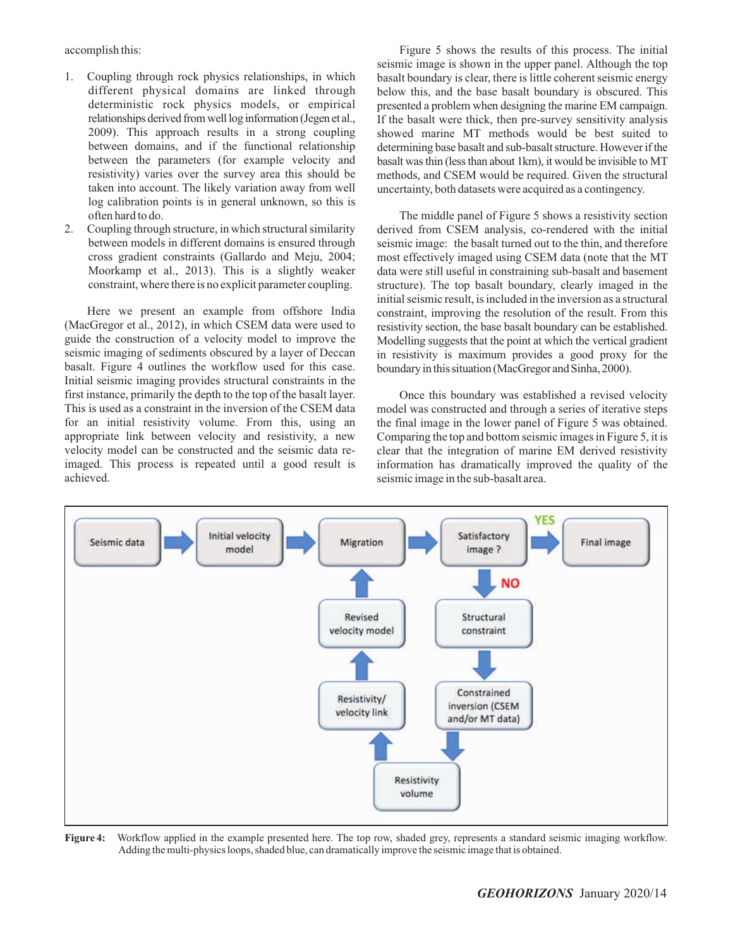accomplish this:

- 1. Coupling through rock physics relationships, in which different physical domains are linked through deterministic rock physics models, or empirical relationships derived from well log information (Jegen et al., 2009). This approach results in a strong coupling between domains, and if the functional relationship between the parameters (for example velocity and resistivity) varies over the survey area this should be taken into account. The likely variation away from well log calibration points is in general unknown, so this is often hard to do.
- 2. Coupling through structure, in which structural similarity between models in different domains is ensured through cross gradient constraints (Gallardo and Meju, 2004; Moorkamp et al., 2013). This is a slightly weaker constraint, where there is no explicit parameter coupling.

Here we present an example from offshore India (MacGregor et al., 2012), in which CSEM data were used to guide the construction of a velocity model to improve the seismic imaging of sediments obscured by a layer of Deccan basalt. Figure 4 outlines the workflow used for this case. Initial seismic imaging provides structural constraints in the first instance, primarily the depth to the top of the basalt layer. This is used as a constraint in the inversion of the CSEM data for an initial resistivity volume. From this, using an appropriate link between velocity and resistivity, a new velocity model can be constructed and the seismic data reimaged. This process is repeated until a good result is achieved.

Figure 5 shows the results of this process. The initial seismic image is shown in the upper panel. Although the top basalt boundary is clear, there is little coherent seismic energy below this, and the base basalt boundary is obscured. This presented a problem when designing the marine EM campaign. If the basalt were thick, then pre-survey sensitivity analysis showed marine MT methods would be best suited to determining base basalt and sub-basalt structure. However if the basalt was thin (less than about 1km), it would be invisible to MT methods, and CSEM would be required. Given the structural uncertainty, both datasets were acquired as a contingency.

The middle panel of Figure 5 shows a resistivity section derived from CSEM analysis, co-rendered with the initial seismic image: the basalt turned out to the thin, and therefore most effectively imaged using CSEM data (note that the MT data were still useful in constraining sub-basalt and basement structure). The top basalt boundary, clearly imaged in the initial seismic result, is included in the inversion as a structural constraint, improving the resolution of the result. From this resistivity section, the base basalt boundary can be established. Modelling suggests that the point at which the vertical gradient in resistivity is maximum provides a good proxy for the boundary in this situation (MacGregor and Sinha, 2000).

Once this boundary was established a revised velocity model was constructed and through a series of iterative steps the final image in the lower panel of Figure 5 was obtained. Comparing the top and bottom seismic images in Figure 5, it is clear that the integration of marine EM derived resistivity information has dramatically improved the quality of the seismic image in the sub-basalt area.



**Figure 4:** Workflow applied in the example presented here. The top row, shaded grey, represents a standard seismic imaging workflow. Adding the multi-physics loops, shaded blue, can dramatically improve the seismic image that is obtained.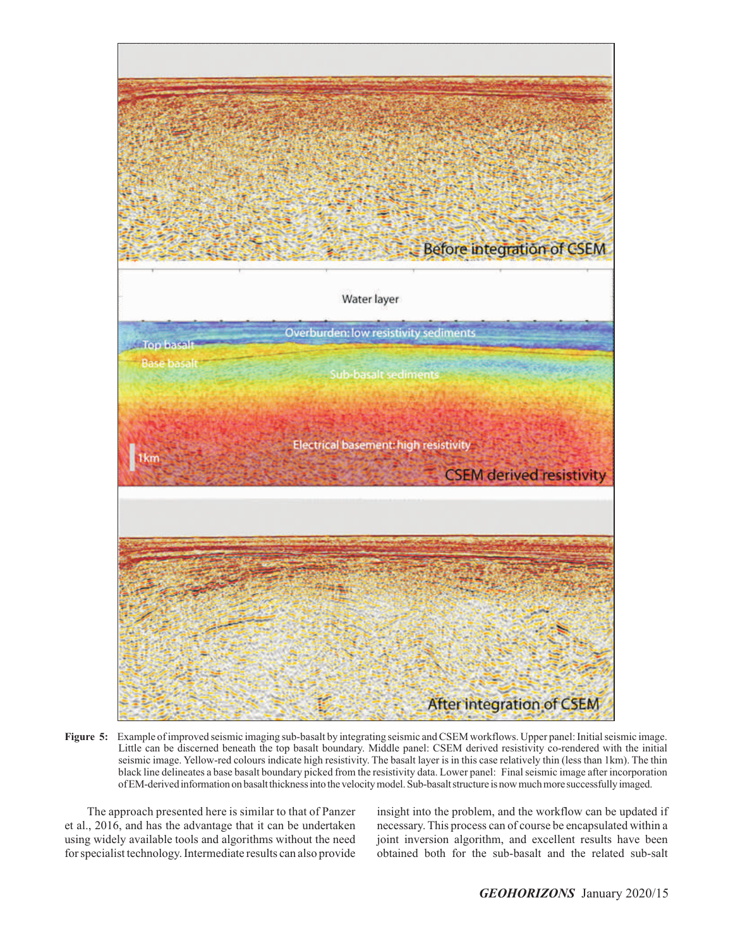

**Figure 5:** Example of improved seismic imaging sub-basalt by integrating seismic and CSEM workflows. Upper panel: Initial seismic image. Little can be discerned beneath the top basalt boundary. Middle panel: CSEM derived resistivity co-rendered with the initial seismic image. Yellow-red colours indicate high resistivity. The basalt layer is in this case relatively thin (less than 1km). The thin black line delineates a base basalt boundary picked from the resistivity data. Lower panel: Final seismic image after incorporation ofEM-derivedinformationonbasaltthicknessinto thevelocitymodel.Sub-basaltstructure is nowmuchmore successfullyimaged.

The approach presented here is similar to that of Panzer et al., 2016, and has the advantage that it can be undertaken using widely available tools and algorithms without the need for specialist technology. Intermediate results can also provide insight into the problem, and the workflow can be updated if necessary. This process can of course be encapsulated within a joint inversion algorithm, and excellent results have been obtained both for the sub-basalt and the related sub-salt